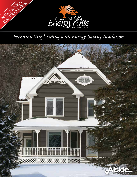

# *Premium Vinyl Siding with Energy-Saving Insulation*

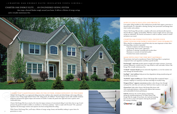### HOW FULLBACK INSULATES AND PROTECTS

Low-quality siding installed over flat underlayment provides little support, protection or thermal benefits. It's vulnerable to denting, bowing, noise penetration and damage from wind, weather and accidents.

Charter Oak Energy Elite provides a complete wall system and dramatically improves thermal efficiency, rigidity and durability. Wall lines remain straight and true and energy savings are substantial. The interior environment is cooler in summer, warmer in winter and quieter year-round.

### CHARTER OAK ENERGY ELITE WILL EXCEED YOUR EXPECTATIONS FOR ENERGY EFFICIENCY AND DURABILITY

- 
- 
- 

PureStrength<sup>™</sup> vinyl resin provides superior strength and weather resistance. It prevents moisture infiltration, so panels won't rot, warp, shrink or swell, and makes Charter Oak Energy Elite virtually maintenance-free.

- When asked by an independent research firm what was most important to them when choosing siding, consumers responded:
	- Superior insulation and reduced energy costs
	- Long-lasting "fresh as paint" appearance
	- Resistance to denting, scratching and everyday abuse
	- Resistance to extremes of wind and weather
	- Freedom from routine maintenance

### MADE WITH ONLY THE VERY BEST MATERIALS

The premium vinyl used to manufacture Charter Oak Energy Elite is a proprietary compound where each ingredient contributes specific benefits.





**Chart**<br>
seconoprope<br>
prope<br>
comfo A HOME THAT'S MAINTENANCE-FREE ON THE OUTSIDE, ENERGY-EFFICIENT ON THE INSIDE Charter Oak Energy Elite is an engineered siding system that combines select materials and refined designs with energy efficiency second to none. Fitting snugly behind Charter Oak® siding panels, the Fullback® Thermal Support System adds valuable insulation properties and protection against impact and extremes of weather. It makes the panels more rigid and creates a quieter, more

**Ti-Shield™ titanium dioxide** prevents ultraviolet degradation, so even hot summer sun won't damage the beautiful surface.

**StayRight™ vinyl stabilizers** help prevent heat degradation during manufacturing and for the life of your home.

With Charter Oak Energy Elite, you'll enjoy a lifetime of energy savings, beauty and durability making it a great choice for generations to come. 2 generations to come.



**TrueShield™ impact modifiers** give Charter Oak Energy Elite exceptional impact resistance, helping it to stand up to the dents and dings of everyday living.

**DesignersChoice™ pigment concentrates** produce colors that go clear through each panel for color that can't wash away. You'll never have to paint or stain again.

**ChromaTrue®** helps make Charter Oak Energy Elite better with ASA weatherable polymers, which provide superior fade resistance and weatherability for better performance.

**Field-Fit** eliminates the need for gluing or laminating during the manufacturing process. So while Charter Oak Energy Elite fits snugly to your home, the vinyl and insulating layers are free to move and expand, reducing the potential for warping or binding.

comfortable home.

Charter Oak Energy Elite has as much as five times the impact resistance of conventional siding. It won't dent, bow or sag. It won't promote the growth of mold or mildew or contribute to "sick home syndrome." And it is made with Preventol® TM, a patented ingredient that discourages termites and carpenter ants from nesting behind the siding.

## CHARTER OAK ENERGY ELITE . . . AN ENGINEERED SIDING SYSTEM

that wraps a thermal blanket snugly around your home. It delivers a lifetime of energy savings

and is virtually maintenance-free.

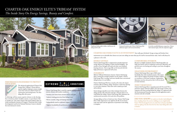#### PERFORMANCE-ENGINEERED TO PROTECT YOUR HOME



The advanced engineering of Charter Oak Energy Elite's TriBeam® System delivers superior rigidity, helping to ensure straight course lines and even walls for both new construction and existing homes. No other siding offers this system.

A rolled-edge nail hem ensures superior resistance to the shearing force of extreme winds. To define extreme, we put Charter Oak to another test. The result: Charter Oak stayed nailed in place in winds reaching the intensity of Category 5 hurricane-force winds, the designation used by the National Hurricane Center to identify the most destructive storms.

# **EXTREME**  $\frac{38.88 \times 10^{-10}}{R_A + R_B}$  CONDITIONS

#### ENERGY SAVINGS

Charter Oak Energy Elite is engineered to provide improved energy efficiency by helping to reduce thermal bridging – the transfer of heat through wall studs and other non-insulated framing elements. Your energy bills can be lowered with this high-performance engineered wall system.

#### DURABILITY

With its TriBeam Performance System, Charter Oak Energy Elite is among the strongest products on the market. Charter Oak Energy Elite is stronger and more durable than conventional siding because it is not hollow.

Charter Oak Energy Elite has as much as five times the impact resistance (IR) of ordinary siding. You'd have a hard time denting it, even with a hammer. That's how well it stands up to hail and accidents.

Storm damage typically occurs when wind gets between the siding and the wall, and twists and rips it. Because there is no void behind the siding, Charter Oak Energy Elite eliminates the unobstructed movement of air and solves this problem.

Average siding can bow or bend over time. Charter Oak Energy Elite is fully supported to stay rigid for the life of your home. Laps won't open and the appearance of premium wood siding is complete.

#### COMFORTABLE INTERIOR

Because it is highly insulated, Charter Oak Energy Elite can help your furnace and air conditioner work more efficiently, and provide more even heating and cooling in your home throughout the seasons.

#### HEALTHIER ENVIRONMENT

Charter Oak Energy Elite is up to 500% more breathable than other insulated systems. This means that it will not support the growth of mold or mildew, or contribute to sick home syndrome. Independent laboratory tests have also proven that it will not absorb or retain moisture.

#### INSECT RESISTANCE

Charter Oak Energy Elite is manufactured with Preventol TM, a patented, organic molecule additive that discourages termites and carpenter ants from nesting behind the siding. It is registered with the Environmental Protection Agency for this application and is nontoxic and safe to handle.

DID YOU KNOW for nearly two decades vinyl siding has been a leading choice for exterior cladding on new single-family homes. This broad appeal stems not only from its beauty, durability, and easy upkeep, but also from the fact that vinyl siding adds value to homes.

## CHARTER OAK ENERGY ELITE'S TRIBEAM® SYSTEM *The Inside Story On Energy Savings, Beauty and Comfort.*



*In strictly controlled laboratory comparisons, Charter Oak remained rigid, while the competition sagged.*

*Contoured insulation give Charter Oak Energy Elite additional support and increased durability.*



*Traditional siding yields a hollow void between the siding and the wall.*

Charter Oak Energy Elite is rated for superior performance in extreme climates and weather conditions.

- Insulates your home from extremes of heat and cold
- Industry-leading protection from fading in sun
- Resists scratches, dings and damage from hail
- Independently tested to withstand Category 5 hurricane-force winds
- Superior breathability for performance in wet climates



#### CHARTER OAK ENERGY ELITE IS AN INVESTMENT that really pays dividends. Energy savings and freedom from

maintenance are so desirable that chances are your new siding can more than pay for itself in increased home value. And it will always be

a pleasure to live with.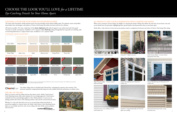

#### STANDARD COLOR COLLECTION



*Charcoal Smoke Cast Iron*

Note: Colors are as accurate as printing techniques allow. Make final color selections using actual vinyl samples. Color availability may vary by market.<br>See your Alside Sales Representative for details.

**Chroma**Truet

#### ARCHITECTURAL COLOR COLLECTION

#### CHOOSING COLOR FOR YOUR HOME HAS NEVER BEEN EASIER

The classic look of premium, freshly painted wood is the most desirable exterior finish available today. The authentic texture and profiles, deep shadow lines and designer color palette of Charter Oak Energy Elite define the look you'll love for a lifetime.

There's no need to settle for siding and trim that almost match. Alside's ColorConnect® Color Matching System offers smart solutions for every design approach. ColorConnect standards have been painstakingly applied to select Alside products to ensure you are making tasteful color choices with enduring aesthetic value and the custom look you desire.

Whether it's a rich color that draws your eye to an interesting architectural detail, or neutral hues applied to a historic home, the Alside ColorConnect Color Matching System helps you successfully match the color of your siding with other Alside exterior products and accessories.





All-American profiles. The clean, simple lines of the **classic clapboard** profile add rich appeal to any architectural style from grand Victorian to seaside contemporary. Available in 41/2" exposure width. **Dutch lap** styling, distinguished by its graceful cove detailing, adds an interesting dimension to a range of home styles. Available in 4 1/2" exposure width.

When you're creating an exterior design, the delight is in choosing the details. Siding color defines the total mass of your home; trim and accent details focus on particulars, highlighting those special features and characteristics that set your home apart.

Our darker siding colors are fortified with ChromaTrue® technology for superior color retention. This advanced copolymer compound provides long-term color stability and better performance on darker colors.

### THE ART OF THE MIX

 $\sim$  6  $\sim$ *Greenbriar® Vintage Beaded soffit and Trimworks soffit crown molding.*



# CHOOSE THE LOOK YOU'LL LOVE *for a* LIFETIME *Eye-Catching Details Set Your Home Apart.*

### ALL PRODUCTS ARE COLOR-COORDINATED WITH CHARTER OAK SIDING

Alside offers a wide selection of trim and accent products made to complement the beauty and colors of Charter Oak Energy Elite siding.





*Trimworks three-piece beaded corner post.*

*Alside Premium Scallops – Victorian inspired half-round shingles.*



*Trimworks custom crown molding used with wood window trim.*



*Alside Premium Shakes – the classic look of deep-grained cedar shakes.*



*Charter Oak dutch lap with Trimworks 3-1/2" window trim.*



*Horizontal band board provides a strong horizontal accent.*

*Trimworks® 7" fluted corner post.*